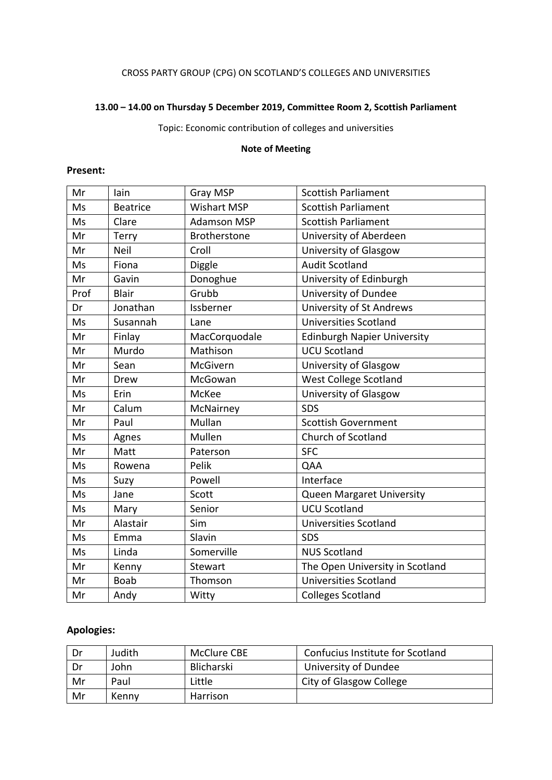### CROSS PARTY GROUP (CPG) ON SCOTLAND'S COLLEGES AND UNIVERSITIES

### **13.00 – 14.00 on Thursday 5 December 2019, Committee Room 2, Scottish Parliament**

Topic: Economic contribution of colleges and universities

### **Note of Meeting**

### **Present:**

| Mr   | lain            | Gray MSP           | <b>Scottish Parliament</b>         |
|------|-----------------|--------------------|------------------------------------|
| Ms   | <b>Beatrice</b> | <b>Wishart MSP</b> | <b>Scottish Parliament</b>         |
| Ms   | Clare           | <b>Adamson MSP</b> | <b>Scottish Parliament</b>         |
| Mr   | Terry           | Brotherstone       | University of Aberdeen             |
| Mr   | Neil            | Croll              | University of Glasgow              |
| Ms   | Fiona           | <b>Diggle</b>      | <b>Audit Scotland</b>              |
| Mr   | Gavin           | Donoghue           | University of Edinburgh            |
| Prof | <b>Blair</b>    | Grubb              | University of Dundee               |
| Dr   | Jonathan        | Issberner          | <b>University of St Andrews</b>    |
| Ms   | Susannah        | Lane               | <b>Universities Scotland</b>       |
| Mr   | Finlay          | MacCorquodale      | <b>Edinburgh Napier University</b> |
| Mr   | Murdo           | Mathison           | <b>UCU Scotland</b>                |
| Mr   | Sean            | McGivern           | University of Glasgow              |
| Mr   | Drew            | McGowan            | <b>West College Scotland</b>       |
| Ms   | Erin            | McKee              | University of Glasgow              |
| Mr   | Calum           | McNairney          | <b>SDS</b>                         |
| Mr   | Paul            | Mullan             | <b>Scottish Government</b>         |
| Ms   | Agnes           | Mullen             | Church of Scotland                 |
| Mr   | Matt            | Paterson           | <b>SFC</b>                         |
| Ms   | Rowena          | Pelik              | QAA                                |
| Ms   | Suzy            | Powell             | Interface                          |
| Ms   | Jane            | Scott              | <b>Queen Margaret University</b>   |
| Ms   | Mary            | Senior             | <b>UCU Scotland</b>                |
| Mr   | Alastair        | Sim                | <b>Universities Scotland</b>       |
| Ms   | Emma            | Slavin             | <b>SDS</b>                         |
| Ms   | Linda           | Somerville         | <b>NUS Scotland</b>                |
| Mr   | Kenny           | Stewart            | The Open University in Scotland    |
| Mr   | <b>Boab</b>     | Thomson            | <b>Universities Scotland</b>       |
| Mr   | Andy            | Witty              | <b>Colleges Scotland</b>           |

# **Apologies:**

| Dr | Judith | McClure CBE | Confucius Institute for Scotland |
|----|--------|-------------|----------------------------------|
| Dr | John   | Blicharski  | University of Dundee             |
| Mr | Paul   | Little      | City of Glasgow College          |
| Mr | Kenny  | Harrison    |                                  |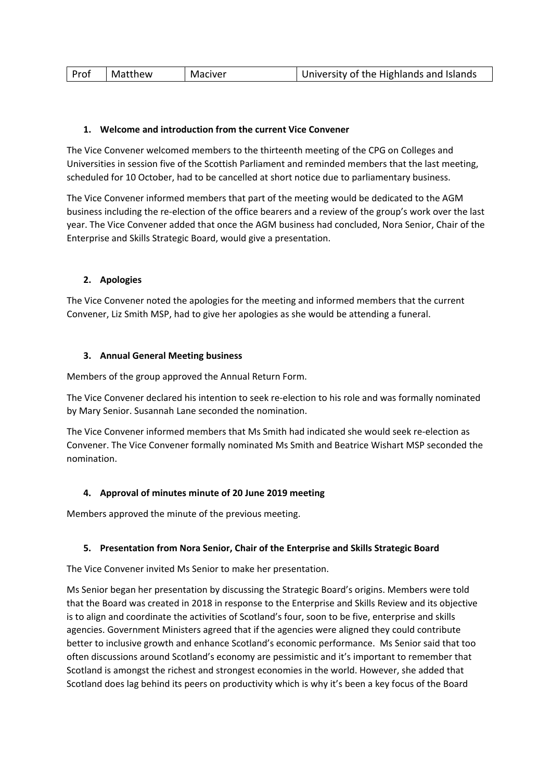| Prof<br>  Matthew<br>University of the Highlands and Islands<br>Maciver |
|-------------------------------------------------------------------------|
|-------------------------------------------------------------------------|

### **1. Welcome and introduction from the current Vice Convener**

The Vice Convener welcomed members to the thirteenth meeting of the CPG on Colleges and Universities in session five of the Scottish Parliament and reminded members that the last meeting, scheduled for 10 October, had to be cancelled at short notice due to parliamentary business.

The Vice Convener informed members that part of the meeting would be dedicated to the AGM business including the re-election of the office bearers and a review of the group's work over the last year. The Vice Convener added that once the AGM business had concluded, Nora Senior, Chair of the Enterprise and Skills Strategic Board, would give a presentation.

### **2. Apologies**

The Vice Convener noted the apologies for the meeting and informed members that the current Convener, Liz Smith MSP, had to give her apologies as she would be attending a funeral.

### **3. Annual General Meeting business**

Members of the group approved the Annual Return Form.

The Vice Convener declared his intention to seek re-election to his role and was formally nominated by Mary Senior. Susannah Lane seconded the nomination.

The Vice Convener informed members that Ms Smith had indicated she would seek re-election as Convener. The Vice Convener formally nominated Ms Smith and Beatrice Wishart MSP seconded the nomination.

## **4. Approval of minutes minute of 20 June 2019 meeting**

Members approved the minute of the previous meeting.

## **5. Presentation from Nora Senior, Chair of the Enterprise and Skills Strategic Board**

The Vice Convener invited Ms Senior to make her presentation.

Ms Senior began her presentation by discussing the Strategic Board's origins. Members were told that the Board was created in 2018 in response to the Enterprise and Skills Review and its objective is to align and coordinate the activities of Scotland's four, soon to be five, enterprise and skills agencies. Government Ministers agreed that if the agencies were aligned they could contribute better to inclusive growth and enhance Scotland's economic performance. Ms Senior said that too often discussions around Scotland's economy are pessimistic and it's important to remember that Scotland is amongst the richest and strongest economies in the world. However, she added that Scotland does lag behind its peers on productivity which is why it's been a key focus of the Board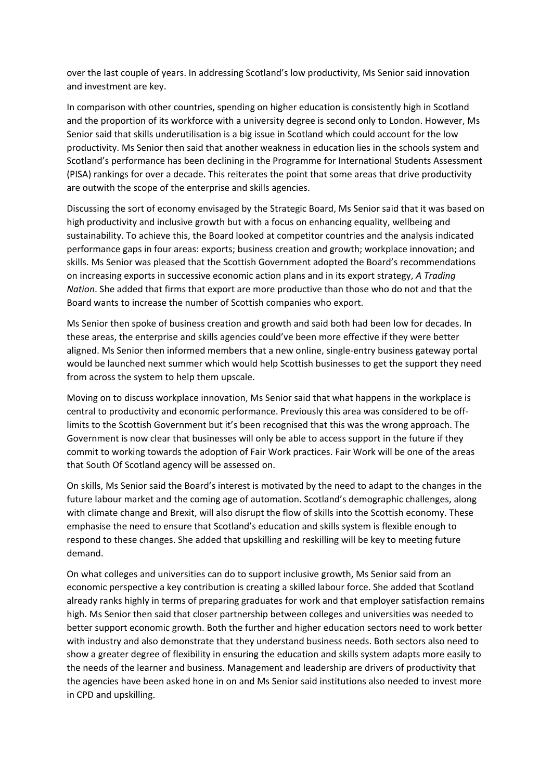over the last couple of years. In addressing Scotland's low productivity, Ms Senior said innovation and investment are key.

In comparison with other countries, spending on higher education is consistently high in Scotland and the proportion of its workforce with a university degree is second only to London. However, Ms Senior said that skills underutilisation is a big issue in Scotland which could account for the low productivity. Ms Senior then said that another weakness in education lies in the schools system and Scotland's performance has been declining in the Programme for International Students Assessment (PISA) rankings for over a decade. This reiterates the point that some areas that drive productivity are outwith the scope of the enterprise and skills agencies.

Discussing the sort of economy envisaged by the Strategic Board, Ms Senior said that it was based on high productivity and inclusive growth but with a focus on enhancing equality, wellbeing and sustainability. To achieve this, the Board looked at competitor countries and the analysis indicated performance gaps in four areas: exports; business creation and growth; workplace innovation; and skills. Ms Senior was pleased that the Scottish Government adopted the Board's recommendations on increasing exports in successive economic action plans and in its export strategy, *A Trading Nation*. She added that firms that export are more productive than those who do not and that the Board wants to increase the number of Scottish companies who export.

Ms Senior then spoke of business creation and growth and said both had been low for decades. In these areas, the enterprise and skills agencies could've been more effective if they were better aligned. Ms Senior then informed members that a new online, single-entry business gateway portal would be launched next summer which would help Scottish businesses to get the support they need from across the system to help them upscale.

Moving on to discuss workplace innovation, Ms Senior said that what happens in the workplace is central to productivity and economic performance. Previously this area was considered to be offlimits to the Scottish Government but it's been recognised that this was the wrong approach. The Government is now clear that businesses will only be able to access support in the future if they commit to working towards the adoption of Fair Work practices. Fair Work will be one of the areas that South Of Scotland agency will be assessed on.

On skills, Ms Senior said the Board's interest is motivated by the need to adapt to the changes in the future labour market and the coming age of automation. Scotland's demographic challenges, along with climate change and Brexit, will also disrupt the flow of skills into the Scottish economy. These emphasise the need to ensure that Scotland's education and skills system is flexible enough to respond to these changes. She added that upskilling and reskilling will be key to meeting future demand.

On what colleges and universities can do to support inclusive growth, Ms Senior said from an economic perspective a key contribution is creating a skilled labour force. She added that Scotland already ranks highly in terms of preparing graduates for work and that employer satisfaction remains high. Ms Senior then said that closer partnership between colleges and universities was needed to better support economic growth. Both the further and higher education sectors need to work better with industry and also demonstrate that they understand business needs. Both sectors also need to show a greater degree of flexibility in ensuring the education and skills system adapts more easily to the needs of the learner and business. Management and leadership are drivers of productivity that the agencies have been asked hone in on and Ms Senior said institutions also needed to invest more in CPD and upskilling.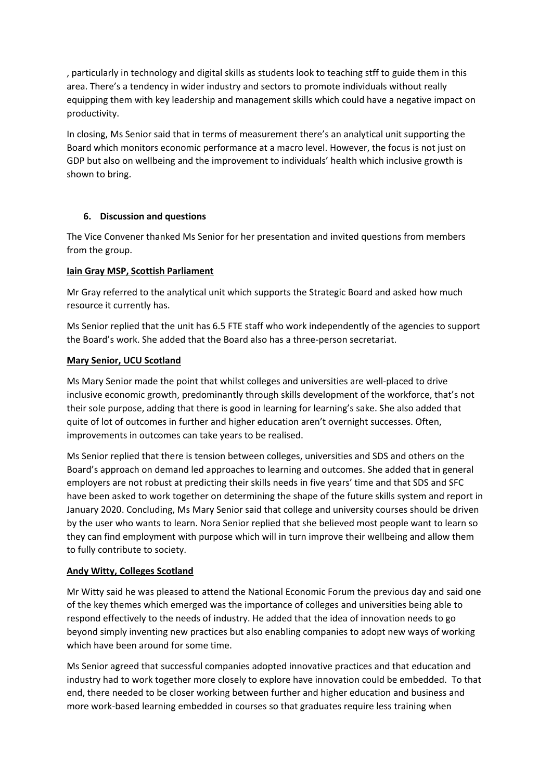, particularly in technology and digital skills as students look to teaching stff to guide them in this area. There's a tendency in wider industry and sectors to promote individuals without really equipping them with key leadership and management skills which could have a negative impact on productivity.

In closing, Ms Senior said that in terms of measurement there's an analytical unit supporting the Board which monitors economic performance at a macro level. However, the focus is not just on GDP but also on wellbeing and the improvement to individuals' health which inclusive growth is shown to bring.

### **6. Discussion and questions**

The Vice Convener thanked Ms Senior for her presentation and invited questions from members from the group.

### **Iain Gray MSP, Scottish Parliament**

Mr Gray referred to the analytical unit which supports the Strategic Board and asked how much resource it currently has.

Ms Senior replied that the unit has 6.5 FTE staff who work independently of the agencies to support the Board's work. She added that the Board also has a three-person secretariat.

### **Mary Senior, UCU Scotland**

Ms Mary Senior made the point that whilst colleges and universities are well-placed to drive inclusive economic growth, predominantly through skills development of the workforce, that's not their sole purpose, adding that there is good in learning for learning's sake. She also added that quite of lot of outcomes in further and higher education aren't overnight successes. Often, improvements in outcomes can take years to be realised.

Ms Senior replied that there is tension between colleges, universities and SDS and others on the Board's approach on demand led approaches to learning and outcomes. She added that in general employers are not robust at predicting their skills needs in five years' time and that SDS and SFC have been asked to work together on determining the shape of the future skills system and report in January 2020. Concluding, Ms Mary Senior said that college and university courses should be driven by the user who wants to learn. Nora Senior replied that she believed most people want to learn so they can find employment with purpose which will in turn improve their wellbeing and allow them to fully contribute to society.

## **Andy Witty, Colleges Scotland**

Mr Witty said he was pleased to attend the National Economic Forum the previous day and said one of the key themes which emerged was the importance of colleges and universities being able to respond effectively to the needs of industry. He added that the idea of innovation needs to go beyond simply inventing new practices but also enabling companies to adopt new ways of working which have been around for some time.

Ms Senior agreed that successful companies adopted innovative practices and that education and industry had to work together more closely to explore have innovation could be embedded. To that end, there needed to be closer working between further and higher education and business and more work-based learning embedded in courses so that graduates require less training when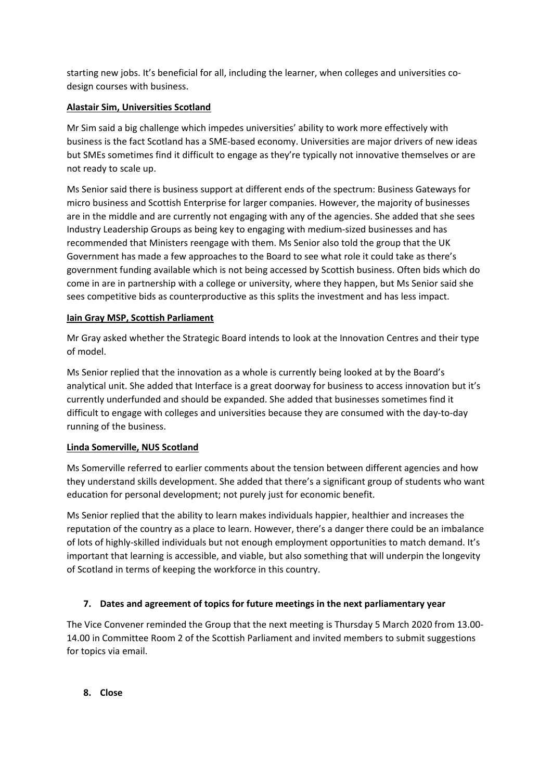starting new jobs. It's beneficial for all, including the learner, when colleges and universities codesign courses with business.

## **Alastair Sim, Universities Scotland**

Mr Sim said a big challenge which impedes universities' ability to work more effectively with business is the fact Scotland has a SME-based economy. Universities are major drivers of new ideas but SMEs sometimes find it difficult to engage as they're typically not innovative themselves or are not ready to scale up.

Ms Senior said there is business support at different ends of the spectrum: Business Gateways for micro business and Scottish Enterprise for larger companies. However, the majority of businesses are in the middle and are currently not engaging with any of the agencies. She added that she sees Industry Leadership Groups as being key to engaging with medium-sized businesses and has recommended that Ministers reengage with them. Ms Senior also told the group that the UK Government has made a few approaches to the Board to see what role it could take as there's government funding available which is not being accessed by Scottish business. Often bids which do come in are in partnership with a college or university, where they happen, but Ms Senior said she sees competitive bids as counterproductive as this splits the investment and has less impact.

### **Iain Gray MSP, Scottish Parliament**

Mr Gray asked whether the Strategic Board intends to look at the Innovation Centres and their type of model.

Ms Senior replied that the innovation as a whole is currently being looked at by the Board's analytical unit. She added that Interface is a great doorway for business to access innovation but it's currently underfunded and should be expanded. She added that businesses sometimes find it difficult to engage with colleges and universities because they are consumed with the day-to-day running of the business.

#### **Linda Somerville, NUS Scotland**

Ms Somerville referred to earlier comments about the tension between different agencies and how they understand skills development. She added that there's a significant group of students who want education for personal development; not purely just for economic benefit.

Ms Senior replied that the ability to learn makes individuals happier, healthier and increases the reputation of the country as a place to learn. However, there's a danger there could be an imbalance of lots of highly-skilled individuals but not enough employment opportunities to match demand. It's important that learning is accessible, and viable, but also something that will underpin the longevity of Scotland in terms of keeping the workforce in this country.

## **7. Dates and agreement of topics for future meetings in the next parliamentary year**

The Vice Convener reminded the Group that the next meeting is Thursday 5 March 2020 from 13.00- 14.00 in Committee Room 2 of the Scottish Parliament and invited members to submit suggestions for topics via email.

**8. Close**